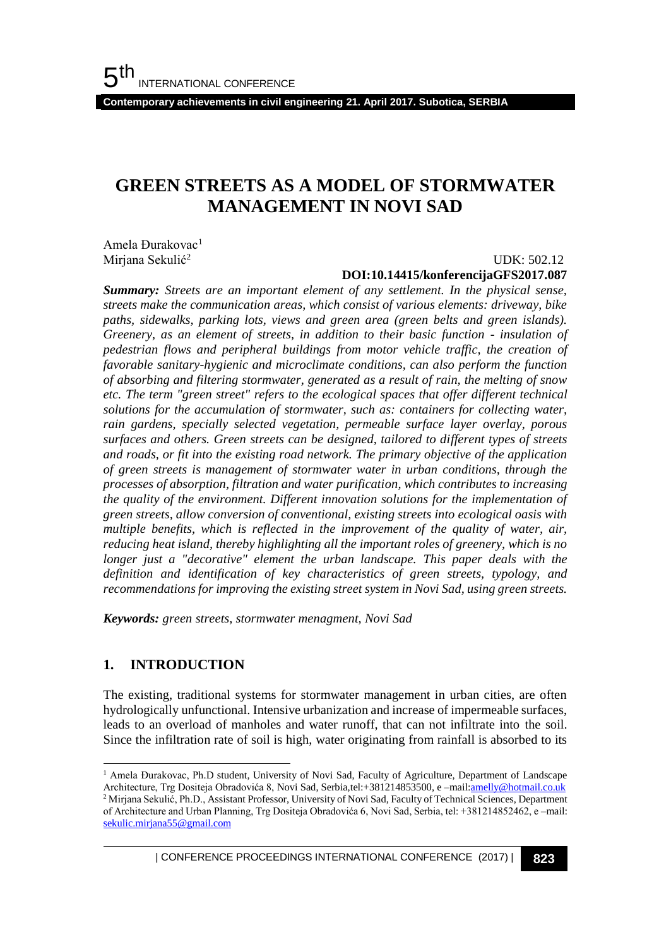**Contemporary achievements in civil engineering 21. April 2017. Subotica, SERBIA**

## **GREEN STREETS AS A MODEL OF STORMWATER MANAGEMENT IN NOVI SAD**

Amela Đurakovac<sup>1</sup> Mirjana Sekulić<sup>2</sup>

UDK: 502.12

**DOI:10.14415/konferencijaGFS2017.087**

*Summary: Streets are an important element of any settlement. In the physical sense, streets make the communication areas, which consist of various elements: driveway, bike paths, sidewalks, parking lots, views and green area (green belts and green islands). Greenery, as an element of streets, in addition to their basic function - insulation of pedestrian flows and peripheral buildings from motor vehicle traffic, the creation of favorable sanitary-hygienic and microclimate conditions, can also perform the function of absorbing and filtering stormwater, generated as a result of rain, the melting of snow etc. The term "green street" refers to the ecological spaces that offer different technical solutions for the accumulation of stormwater, such as: containers for collecting water, rain gardens, specially selected vegetation, permeable surface layer overlay, porous surfaces and others. Green streets can be designed, tailored to different types of streets and roads, or fit into the existing road network. The primary objective of the application of green streets is management of stormwater water in urban conditions, through the processes of absorption, filtration and water purification, which contributes to increasing the quality of the environment. Different innovation solutions for the implementation of green streets, allow conversion of conventional, existing streets into ecological oasis with multiple benefits, which is reflected in the improvement of the quality of water, air, reducing heat island, thereby highlighting all the important roles of greenery, which is no longer just a "decorative" element the urban landscape. This paper deals with the definition and identification of key characteristics of green streets, typology, and recommendations for improving the existing street system in Novi Sad, using green streets.*

*Keywords: green streets, stormwater menagment, Novi Sad*

### **1. INTRODUCTION**

l

The existing, traditional systems for stormwater management in urban cities, are often hydrologically unfunctional. Intensive urbanization and increase of impermeable surfaces, leads to an overload of manholes and water runoff, that can not infiltrate into the soil. Since the infiltration rate of soil is high, water originating from rainfall is absorbed to its

<sup>&</sup>lt;sup>1</sup> Amela Đurakovac, Ph.D student, University of Novi Sad, Faculty of Agriculture, Department of Landscape Architecture, Trg Dositeja Obradovića 8, Novi Sad, Serbia,tel:+381214853500, e –mai[l:amelly@hotmail.co.uk](mailto:amelly@hotmail.co.uk) <sup>2</sup> Mirjana Sekulić, Ph.D., Assistant Professor, University of Novi Sad, Faculty of Technical Sciences, Department of Architecture and Urban Planning, Trg Dositeja Obradovića 6, Novi Sad, Serbia, tel: +381214852462, e –mail: [sekulic.mirjana55@gmail.com](mailto:sekulic.mirjana55@gmail.com)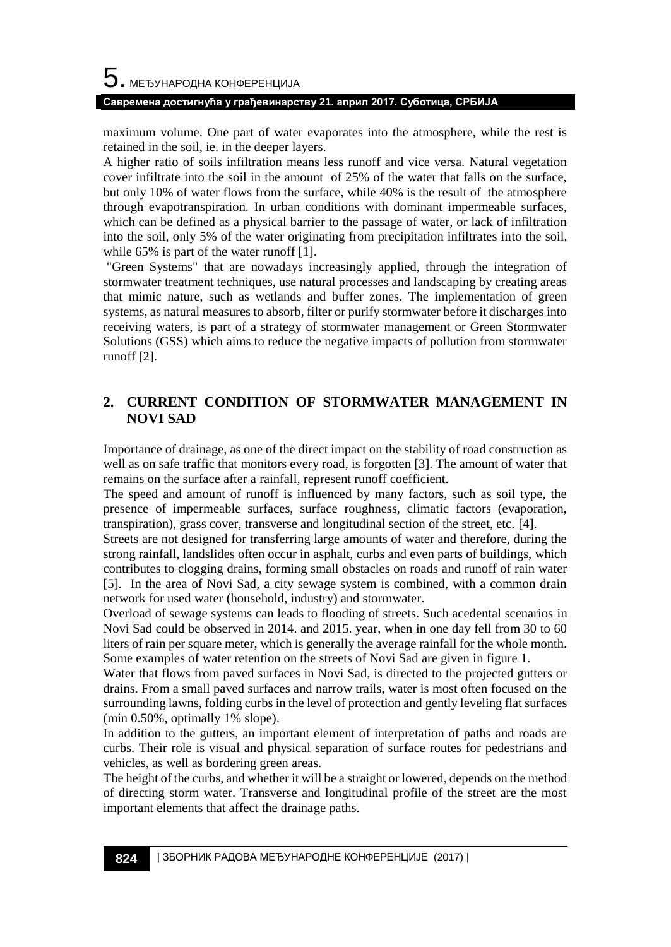maximum volume. One part of water evaporates into the atmosphere, while the rest is retained in the soil, ie. in the deeper layers.

A higher ratio of soils infiltration means less runoff and vice versa. Natural vegetation cover infiltrate into the soil in the amount of 25% of the water that falls on the surface, but only 10% of water flows from the surface, while 40% is the result of the atmosphere through evapotranspiration. In urban conditions with dominant impermeable surfaces, which can be defined as a physical barrier to the passage of water, or lack of infiltration into the soil, only 5% of the water originating from precipitation infiltrates into the soil, while 65% is part of the water runoff [1].

"Green Systems" that are nowadays increasingly applied, through the integration of stormwater treatment techniques, use natural processes and landscaping by creating areas that mimic nature, such as wetlands and buffer zones. The implementation of green systems, as natural measures to absorb, filter or purify stormwater before it discharges into receiving waters, is part of a strategy of stormwater management or Green Stormwater Solutions (GSS) which aims to reduce the negative impacts of pollution from stormwater runoff [2].

### **2. CURRENT CONDITION OF STORMWATER MANAGEMENT IN NOVI SAD**

Importance of drainage, as one of the direct impact on the stability of road construction as well as on safe traffic that monitors every road, is forgotten [3]. The amount of water that remains on the surface after a rainfall, represent runoff coefficient.

The speed and amount of runoff is influenced by many factors, such as soil type, the presence of impermeable surfaces, surface roughness, climatic factors (evaporation, transpiration), grass cover, transverse and longitudinal section of the street, etc. [4].

Streets are not designed for transferring large amounts of water and therefore, during the strong rainfall, landslides often occur in asphalt, curbs and even parts of buildings, which contributes to clogging drains, forming small obstacles on roads and runoff of rain water [5]. In the area of Novi Sad, a city sewage system is combined, with a common drain network for used water (household, industry) and stormwater.

Overload of sewage systems can leads to flooding of streets. Such acedental scenarios in Novi Sad could be observed in 2014. and 2015. year, when in one day fell from 30 to 60 liters of rain per square meter, which is generally the average rainfall for the whole month. Some examples of water retention on the streets of Novi Sad are given in figure 1.

Water that flows from paved surfaces in Novi Sad, is directed to the projected gutters or drains. From a small paved surfaces and narrow trails, water is most often focused on the surrounding lawns, folding curbs in the level of protection and gently leveling flat surfaces (min 0.50%, optimally 1% slope).

In addition to the gutters, an important element of interpretation of paths and roads are curbs. Their role is visual and physical separation of surface routes for pedestrians and vehicles, as well as bordering green areas.

The height of the curbs, and whether it will be a straight or lowered, depends on the method of directing storm water. Transverse and longitudinal profile of the street are the most important elements that affect the drainage paths.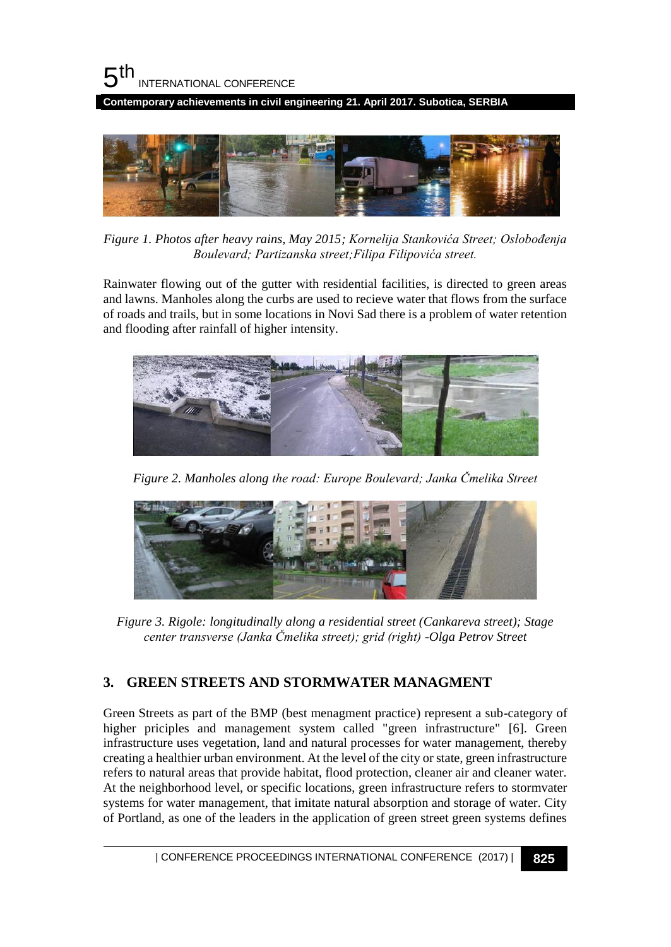

**Contemporary achievements in civil engineering 21. April 2017. Subotica, SERBIA**



*Figure 1. Photos after heavy rains, May 2015; Kornelija Stankovića Street; Oslobođenja Boulevard; Partizanska street;Filipa Filipovića street.*

Rainwater flowing out of the gutter with residential facilities, is directed to green areas and lawns. Manholes along the curbs are used to recieve water that flows from the surface of roads and trails, but in some locations in Novi Sad there is a problem of water retention and flooding after rainfall of higher intensity.



*Figure 2. Manholes along the road: Europe Boulevard; Janka Čmelika Street*



*Figure 3. Rigole: longitudinally along a residential street (Cankareva street); Stage center transverse (Janka Čmelika street); grid (right) -Olga Petrov Street*

### **3. GREEN STREETS AND STORMWATER MANAGMENT**

Green Streets as part of the BMP (best menagment practice) represent a sub-category of higher priciples and management system called "green infrastructure" [6]. Green infrastructure uses vegetation, land and natural processes for water management, thereby creating a healthier urban environment. At the level of the city or state, green infrastructure refers to natural areas that provide habitat, flood protection, cleaner air and cleaner water. At the neighborhood level, or specific locations, green infrastructure refers to stormvater systems for water management, that imitate natural absorption and storage of water. City of Portland, as one of the leaders in the application of green street green systems defines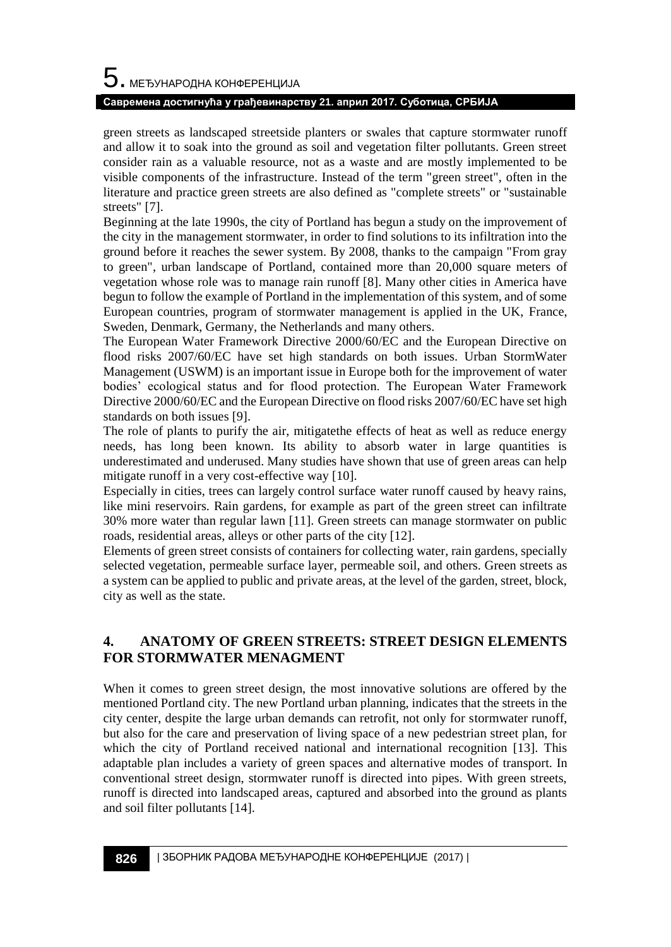# $\mathbf 5$ . међународна конференција

#### **Савремена достигнућа у грађевинарству 21. април 2017. Суботица, СРБИЈА**

green streets as landscaped streetside planters or swales that capture stormwater runoff and allow it to soak into the ground as soil and vegetation filter pollutants. Green street consider rain as a valuable resource, not as a waste and are mostly implemented to be visible components of the infrastructure. Instead of the term "green street", often in the literature and practice green streets are also defined as "complete streets" or "sustainable streets" [7].

Beginning at the late 1990s, the city of Portland has begun a study on the improvement of the city in the management stormwater, in order to find solutions to its infiltration into the ground before it reaches the sewer system. By 2008, thanks to the campaign "From gray to green", urban landscape of Portland, contained more than 20,000 square meters of vegetation whose role was to manage rain runoff [8]. Many other cities in America have begun to follow the example of Portland in the implementation of this system, and of some European countries, program of stormwater management is applied in the UK, France, Sweden, Denmark, Germany, the Netherlands and many others.

The European Water Framework Directive 2000/60/EC and the European Directive on flood risks 2007/60/EC have set high standards on both issues. Urban StormWater Management (USWM) is an important issue in Europe both for the improvement of water bodies' ecological status and for flood protection. The European Water Framework Directive 2000/60/EC and the European Directive on flood risks 2007/60/EC have set high standards on both issues [9].

The role of plants to purify the air, mitigatethe effects of heat as well as reduce energy needs, has long been known. Its ability to absorb water in large quantities is underestimated and underused. Many studies have shown that use of green areas can help mitigate runoff in a very cost-effective way [10].

Especially in cities, trees can largely control surface water runoff caused by heavy rains, like mini reservoirs. Rain gardens, for example as part of the green street can infiltrate 30% more water than regular lawn [11]. Green streets can manage stormwater on public roads, residential areas, alleys or other parts of the city [12].

Elements of green street consists of containers for collecting water, rain gardens, specially selected vegetation, permeable surface layer, permeable soil, and others. Green streets as a system can be applied to public and private areas, at the level of the garden, street, block, city as well as the state.

### **4. ANATOMY OF GREEN STREETS: STREET DESIGN ELEMENTS FOR STORMWATER MENAGMENT**

When it comes to green street design, the most innovative solutions are offered by the mentioned Portland city. The new Portland urban planning, indicates that the streets in the city center, despite the large urban demands can retrofit, not only for stormwater runoff, but also for the care and preservation of living space of a new pedestrian street plan, for which the city of Portland received national and international recognition [13]. This adaptable plan includes a variety of green spaces and alternative modes of transport. In conventional street design, stormwater runoff is directed into pipes. With green streets, runoff is directed into landscaped areas, captured and absorbed into the ground as plants and soil filter pollutants [14].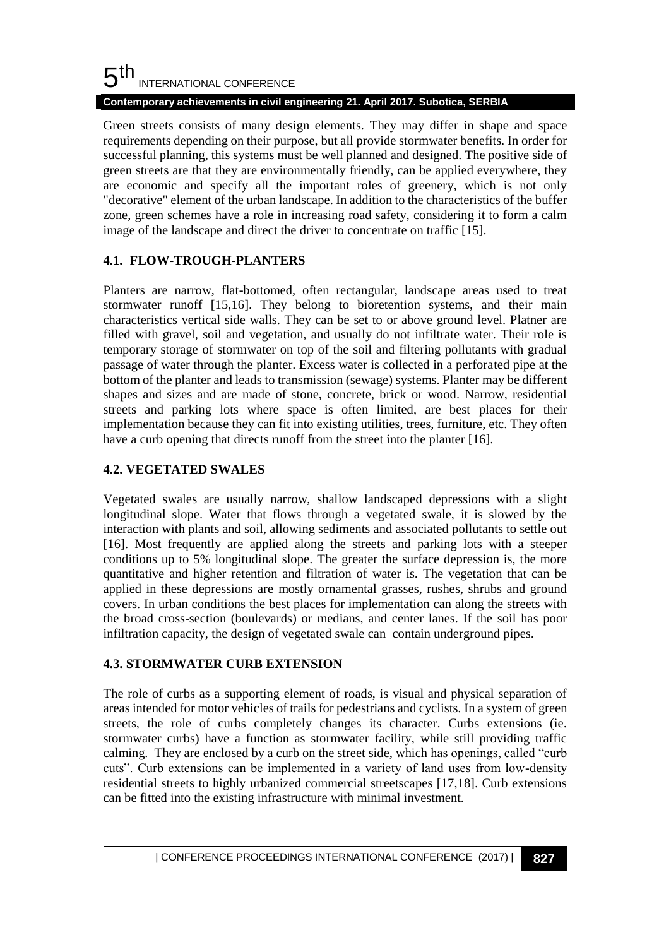#### 5 th INTERNATIONAL CONFERENCE **Contemporary achievements in civil engineering 21. April 2017. Subotica, SERBIA**

Green streets consists of many design elements. They may differ in shape and space requirements depending on their purpose, but all provide stormwater benefits. In order for successful planning, this systems must be well planned and designed. The positive side of green streets are that they are environmentally friendly, can be applied everywhere, they are economic and specify all the important roles of greenery, which is not only "decorative" element of the urban landscape. In addition to the characteristics of the buffer zone, green schemes have a role in increasing road safety, considering it to form a calm image of the landscape and direct the driver to concentrate on traffic [15].

### **4.1. FLOW-TROUGH-PLANTERS**

Planters are narrow, flat-bottomed, often rectangular, landscape areas used to treat stormwater runoff [15,16]. They belong to bioretention systems, and their main characteristics vertical side walls. They can be set to or above ground level. Platner are filled with gravel, soil and vegetation, and usually do not infiltrate water. Their role is temporary storage of stormwater on top of the soil and filtering pollutants with gradual passage of water through the planter. Excess water is collected in a perforated pipe at the bottom of the planter and leads to transmission (sewage) systems. Planter may be different shapes and sizes and are made of stone, concrete, brick or wood. Narrow, residential streets and parking lots where space is often limited, are best places for their implementation because they can fit into existing utilities, trees, furniture, etc. They often have a curb opening that directs runoff from the street into the planter [16].

### **4.2. VEGETATED SWALES**

Vegetated swales are usually narrow, shallow landscaped depressions with a slight longitudinal slope. Water that flows through a vegetated swale, it is slowed by the interaction with plants and soil, allowing sediments and associated pollutants to settle out [16]. Most frequently are applied along the streets and parking lots with a steeper conditions up to 5% longitudinal slope. The greater the surface depression is, the more quantitative and higher retention and filtration of water is. The vegetation that can be applied in these depressions are mostly ornamental grasses, rushes, shrubs and ground covers. In urban conditions the best places for implementation can along the streets with the broad cross-section (boulevards) or medians, and center lanes. If the soil has poor infiltration capacity, the design of vegetated swale can contain underground pipes.

### **4.3. STORMWATER CURB EXTENSION**

The role of curbs as a supporting element of roads, is visual and physical separation of areas intended for motor vehicles of trails for pedestrians and cyclists. In a system of green streets, the role of curbs completely changes its character. Curbs extensions (ie. stormwater curbs) have a function as stormwater facility, while still providing traffic calming. They are enclosed by a curb on the street side, which has openings, called "curb cuts". Curb extensions can be implemented in a variety of land uses from low-density residential streets to highly urbanized commercial streetscapes [17,18]. Curb extensions can be fitted into the existing infrastructure with minimal investment.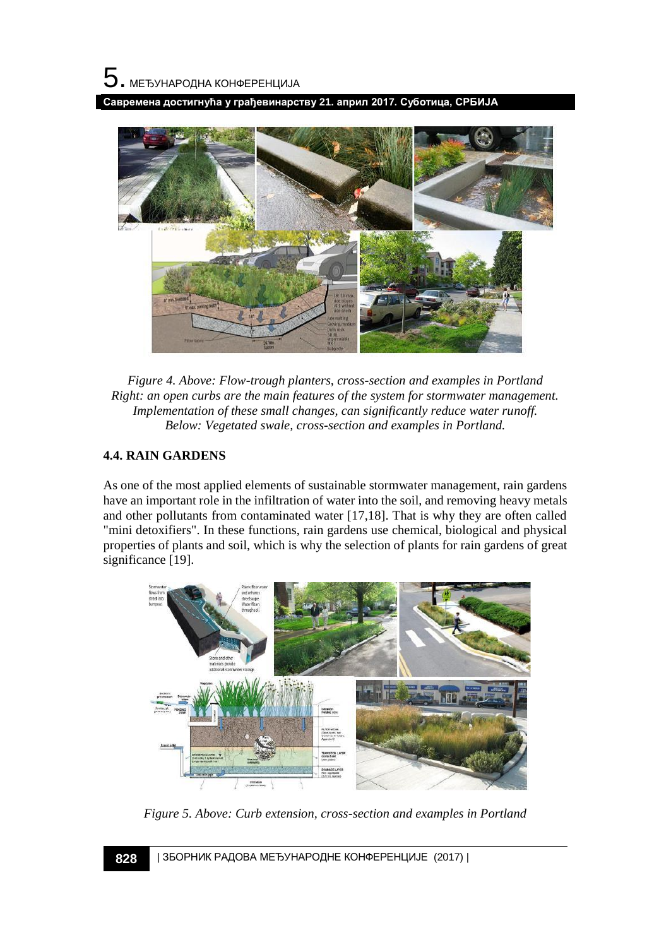**Савремена достигнућа у грађевинарству 21. април 2017. Суботица, СРБИЈА**



*Figure 4. Above: Flow-trough planters, cross-section and examples in Portland Right: an open curbs are the main features of the system for stormwater management. Implementation of these small changes, can significantly reduce water runoff. Below: Vegetated swale, cross-section and examples in Portland.*

### **4.4. RAIN GARDENS**

As one of the most applied elements of sustainable stormwater management, rain gardens have an important role in the infiltration of water into the soil, and removing heavy metals and other pollutants from contaminated water [17,18]. That is why they are often called "mini detoxifiers". In these functions, rain gardens use chemical, biological and physical properties of plants and soil, which is why the selection of plants for rain gardens of great significance [19].



*Figure 5. Above: Curb extension, cross-section and examples in Portland*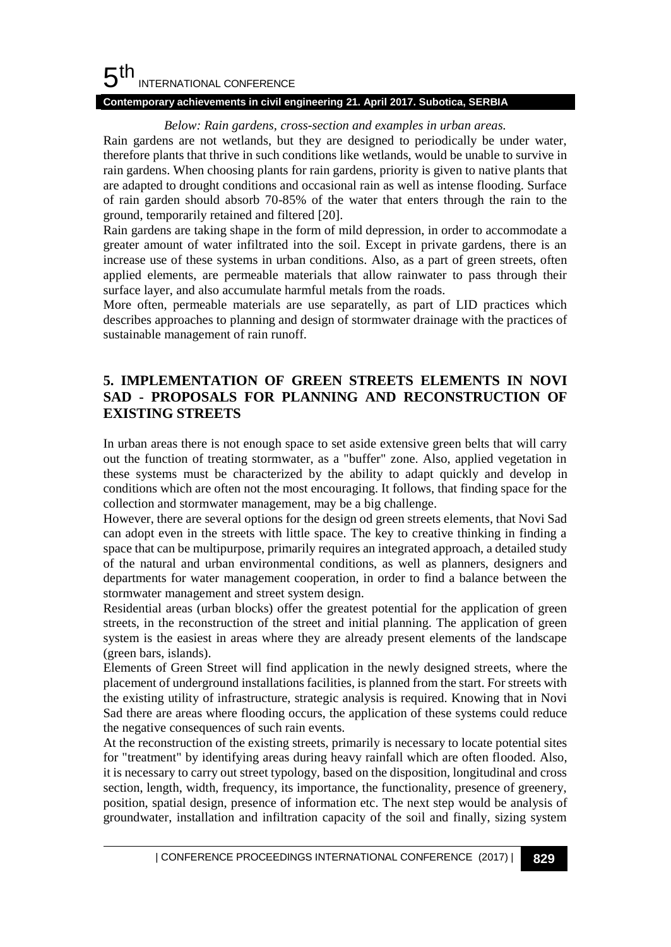#### 5 th INTERNATIONAL CONFERENCE

### **Contemporary achievements in civil engineering 21. April 2017. Subotica, SERBIA**

#### *Below: Rain gardens, cross-section and examples in urban areas.*

Rain gardens are not wetlands, but they are designed to periodically be under water, therefore plants that thrive in such conditions like wetlands, would be unable to survive in rain gardens. When choosing plants for rain gardens, priority is given to native plants that are adapted to drought conditions and occasional rain as well as intense flooding. Surface of rain garden should absorb 70-85% of the water that enters through the rain to the ground, temporarily retained and filtered [20].

Rain gardens are taking shape in the form of mild depression, in order to accommodate a greater amount of water infiltrated into the soil. Except in private gardens, there is an increase use of these systems in urban conditions. Also, as a part of green streets, often applied elements, are permeable materials that allow rainwater to pass through their surface layer, and also accumulate harmful metals from the roads.

More often, permeable materials are use separatelly, as part of LID practices which describes approaches to planning and design of stormwater drainage with the practices of sustainable management of rain runoff.

### **5. IMPLEMENTATION OF GREEN STREETS ELEMENTS IN NOVI SAD - PROPOSALS FOR PLANNING AND RECONSTRUCTION OF EXISTING STREETS**

In urban areas there is not enough space to set aside extensive green belts that will carry out the function of treating stormwater, as a "buffer" zone. Also, applied vegetation in these systems must be characterized by the ability to adapt quickly and develop in conditions which are often not the most encouraging. It follows, that finding space for the collection and stormwater management, may be a big challenge.

However, there are several options for the design od green streets elements, that Novi Sad can adopt even in the streets with little space. The key to creative thinking in finding a space that can be multipurpose, primarily requires an integrated approach, a detailed study of the natural and urban environmental conditions, as well as planners, designers and departments for water management cooperation, in order to find a balance between the stormwater management and street system design.

Residential areas (urban blocks) offer the greatest potential for the application of green streets, in the reconstruction of the street and initial planning. The application of green system is the easiest in areas where they are already present elements of the landscape (green bars, islands).

Elements of Green Street will find application in the newly designed streets, where the placement of underground installations facilities, is planned from the start. For streets with the existing utility of infrastructure, strategic analysis is required. Knowing that in Novi Sad there are areas where flooding occurs, the application of these systems could reduce the negative consequences of such rain events.

At the reconstruction of the existing streets, primarily is necessary to locate potential sites for "treatment" by identifying areas during heavy rainfall which are often flooded. Also, it is necessary to carry out street typology, based on the disposition, longitudinal and cross section, length, width, frequency, its importance, the functionality, presence of greenery, position, spatial design, presence of information etc. The next step would be analysis of groundwater, installation and infiltration capacity of the soil and finally, sizing system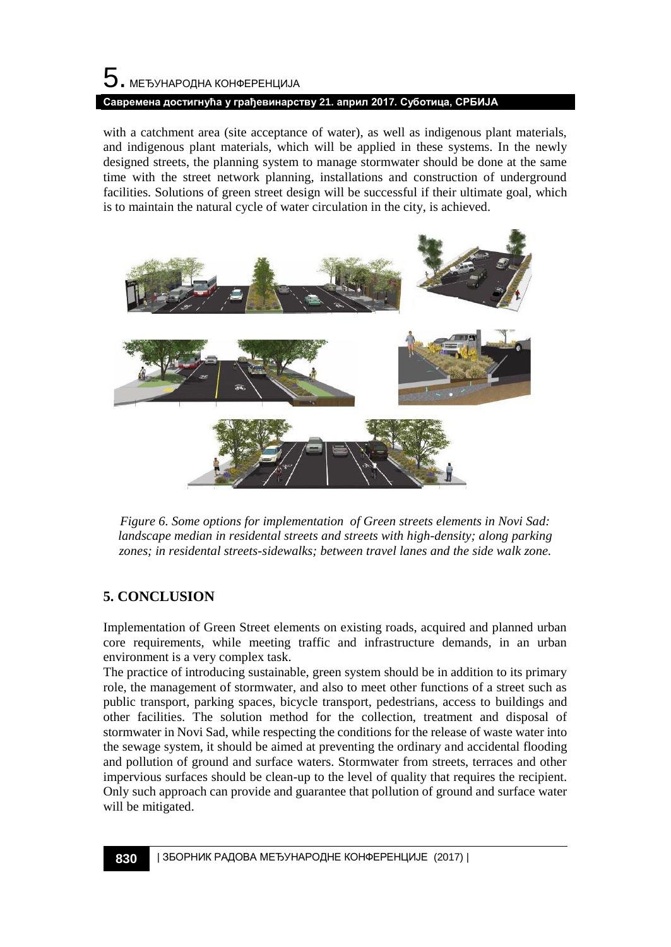## $\mathbf 5$ . међународна конференција **Савремена достигнућа у грађевинарству 21. април 2017. Суботица, СРБИЈА**

with a catchment area (site acceptance of water), as well as indigenous plant materials, and indigenous plant materials, which will be applied in these systems. In the newly designed streets, the planning system to manage stormwater should be done at the same time with the street network planning, installations and construction of underground facilities. Solutions of green street design will be successful if their ultimate goal, which is to maintain the natural cycle of water circulation in the city, is achieved.



*Figure 6. Some options for implementation of Green streets elements in Novi Sad: landscape median in residental streets and streets with high-density; along parking zones; in residental streets-sidewalks; between travel lanes and the side walk zone.*

### **5. CONCLUSION**

Implementation of Green Street elements on existing roads, acquired and planned urban core requirements, while meeting traffic and infrastructure demands, in an urban environment is a very complex task.

The practice of introducing sustainable, green system should be in addition to its primary role, the management of stormwater, and also to meet other functions of a street such as public transport, parking spaces, bicycle transport, pedestrians, access to buildings and other facilities. The solution method for the collection, treatment and disposal of stormwater in Novi Sad, while respecting the conditions for the release of waste water into the sewage system, it should be aimed at preventing the ordinary and accidental flooding and pollution of ground and surface waters. Stormwater from streets, terraces and other impervious surfaces should be clean-up to the level of quality that requires the recipient. Only such approach can provide and guarantee that pollution of ground and surface water will be mitigated.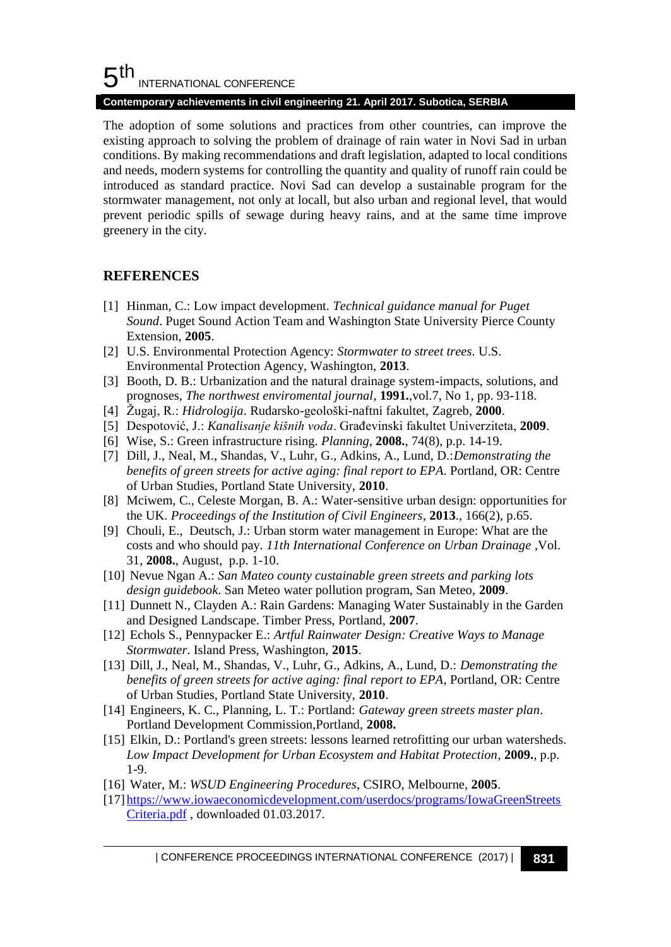#### 5 th INTERNATIONAL CONFERENCE

### **Contemporary achievements in civil engineering 21. April 2017. Subotica, SERBIA**

The adoption of some solutions and practices from other countries, can improve the existing approach to solving the problem of drainage of rain water in Novi Sad in urban conditions. By making recommendations and draft legislation, adapted to local conditions and needs, modern systems for controlling the quantity and quality of runoff rain could be introduced as standard practice. Novi Sad can develop a sustainable program for the stormwater management, not only at locall, but also urban and regional level, that would prevent periodic spills of sewage during heavy rains, and at the same time improve greenery in the city.

### **REFERENCES**

- [1] Hinman, C.: Low impact development. *Technical guidance manual for Puget Sound*. Puget Sound Action Team and Washington State University Pierce County Extension, **2005**.
- [2] U.S. Environmental Protection Agency: *Stormwater to street trees*. U.S. Environmental Protection Agency, Washington, **2013**.
- [3] Booth, D. B.: Urbanization and the natural drainage system-impacts, solutions, and prognoses, *The northwest enviromental journal*, **1991.**,vol.7, No 1, pp. 93-118.
- [4] Žugaj, R.: *Hidrologija*. Rudarsko-geološki-naftni fakultet, Zagreb, **2000**.
- [5] Despotović, J.: *Kanalisanje kišnih voda*. Građevinski fakultet Univerziteta, **2009**.
- [6] Wise, S.: Green infrastructure rising. *Planning*, **2008.**, 74(8), p.p. 14-19.
- [7] Dill, J., Neal, M., Shandas, V., Luhr, G., Adkins, A., Lund, D.:*Demonstrating the benefits of green streets for active aging: final report to EPA*. Portland, OR: Centre of Urban Studies, Portland State University, **2010**.
- [8] Mciwem, C., Celeste Morgan, B. A.: Water-sensitive urban design: opportunities for the UK. *Proceedings of the Institution of Civil Engineers*, **2013**., 166(2), p.65.
- [9] Chouli, E., Deutsch, J.: Urban storm water management in Europe: What are the costs and who should pay. *11th International Conference on Urban Drainage* ,Vol. 31, **2008.**, August, p.p. 1-10.
- [10] Nevue Ngan A.: *San Mateo county custainable green streets and parking lots design guidebook*. San Meteo water pollution program, San Meteo, **2009**.
- [11] Dunnett N., Clayden A.: Rain Gardens: Managing Water Sustainably in the Garden and Designed Landscape. Timber Press, Portland, **2007**.
- [12] Echols S., Pennypacker E.: *Artful Rainwater Design: Creative Ways to Manage Stormwater*. Island Press, Washington, **2015**.
- [13] Dill, J., Neal, M., Shandas, V., Luhr, G., Adkins, A., Lund, D.: *Demonstrating the benefits of green streets for active aging: final report to EPA*, Portland, OR: Centre of Urban Studies, Portland State University, **2010**.
- [14] Engineers, K. C., Planning, L. T.: Portland: *Gateway green streets master plan*. Portland Development Commission,Portland, **2008.**
- [15] Elkin, D.: Portland's green streets: lessons learned retrofitting our urban watersheds. *Low Impact Development for Urban Ecosystem and Habitat Protection*, **2009.**, p.p. 1-9.
- [16] Water, M.: *WSUD Engineering Procedures*, CSIRO, Melbourne, **2005**.
- [17] [https://www.iowaeconomicdevelopment.com/userdocs/programs/IowaGreenStreets](https://www.iowaeconomicdevelopment.com/userdocs/programs/IowaGreenStreetsCriteria.pdf) [Criteria.pdf](https://www.iowaeconomicdevelopment.com/userdocs/programs/IowaGreenStreetsCriteria.pdf) , downloaded 01.03.2017.